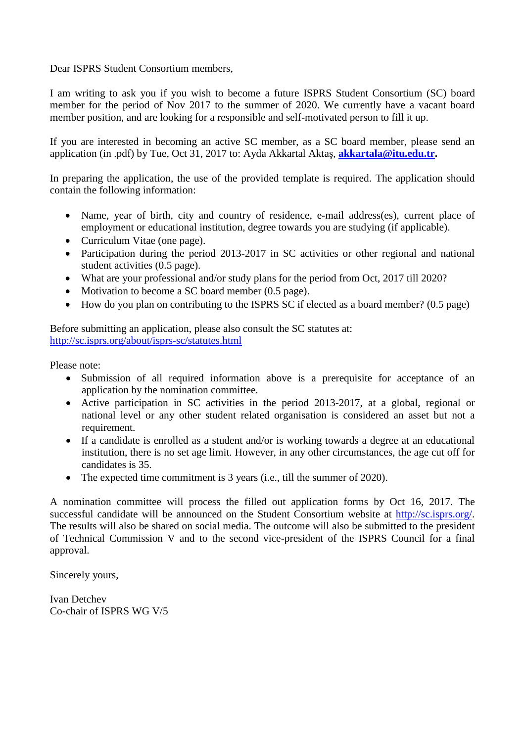Dear ISPRS Student Consortium members,

I am writing to ask you if you wish to become a future ISPRS Student Consortium (SC) board member for the period of Nov 2017 to the summer of 2020. We currently have a vacant board member position, and are looking for a responsible and self-motivated person to fill it up.

If you are interested in becoming an active SC member, as a SC board member, please send an application (in .pdf) by Tue, Oct 31, 2017 to: Ayda Akkartal Aktaş, **[akkartala@itu.edu.tr.](mailto:akkartala@itu.edu.tr)**

In preparing the application, the use of the provided template is required. The application should contain the following information:

- Name, year of birth, city and country of residence, e-mail address(es), current place of employment or educational institution, degree towards you are studying (if applicable).
- Curriculum Vitae (one page).
- Participation during the period 2013-2017 in SC activities or other regional and national student activities (0.5 page).
- What are your professional and/or study plans for the period from Oct, 2017 till 2020?
- Motivation to become a SC board member (0.5 page).
- How do you plan on contributing to the ISPRS SC if elected as a board member? (0.5 page)

Before submitting an application, please also consult the SC statutes at: <http://sc.isprs.org/about/isprs-sc/statutes.html>

Please note:

- Submission of all required information above is a prerequisite for acceptance of an application by the nomination committee.
- Active participation in SC activities in the period 2013-2017, at a global, regional or national level or any other student related organisation is considered an asset but not a requirement.
- If a candidate is enrolled as a student and/or is working towards a degree at an educational institution, there is no set age limit. However, in any other circumstances, the age cut off for candidates is 35.
- The expected time commitment is 3 years (i.e., till the summer of 2020).

A nomination committee will process the filled out application forms by Oct 16, 2017. The successful candidate will be announced on the Student Consortium website at [http://sc.isprs.org/.](http://sc.isprs.org/) The results will also be shared on social media. The outcome will also be submitted to the president of Technical Commission V and to the second vice-president of the ISPRS Council for a final approval.

Sincerely yours,

Ivan Detchev Co-chair of ISPRS WG V/5